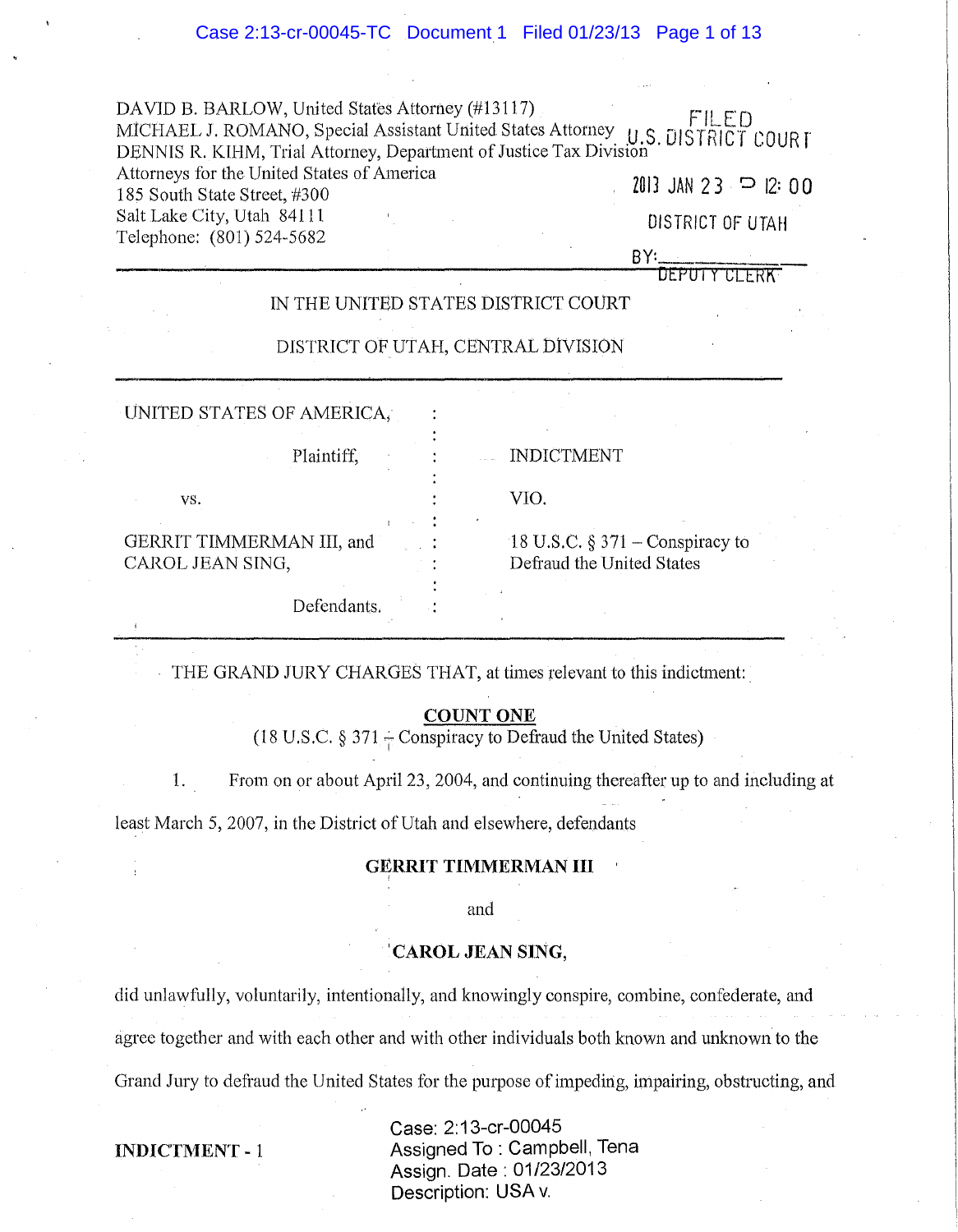DAVID B. BARLOW, United States Attorney (#13117). FILED MICHAEL J. ROMANO, Special Assistant United States Attorney. U.S. DISTRICT COURT DENNIS R. KIHM, Trial Attorney, Department of Justice Tax Division Attorneys for the United States of America 185 South State Street,  $\#300$ <br>185 South State Street,  $\#300$ Salt Lake City, Utah 84111 2012 12:00 12:00 12:00 12:00 13 DISTRICT OF UTAH Telephone:  $(801) 524-5682$  BY:

DEPUTY

# IN THE UNITED STATES DISTRICT COURT

# DISTRICT OF UTAH, CENTRAL DlvISION

| UNITED STATES OF AMERICA,                     |                                                                 |
|-----------------------------------------------|-----------------------------------------------------------------|
| Plaintiff,                                    | <b>INDICTMENT</b>                                               |
| VS.                                           | VIO.                                                            |
| GERRIT TIMMERMAN III, and<br>CAROL JEAN SING, | 18 U.S.C. $\S 371$ – Conspiracy to<br>Defraud the United States |
| Defendants.                                   |                                                                 |

THE GRAND JURY CHARGES THAT, at times relevant to this indictment:.

# COUNT ONE

(18 U.S.C.  $\S 371$  – Conspiracy to Defraud the United States)

1. From on or about April 23, 2004, and continuing thereafter up to and including at

least March 5, 2007, in the District of Utah and elsewhere, defendants

### GERRIT TIMMERMAN **III**

and

# 1 CAROL JEAN SING,

did unlawfully, voluntarily, intentionally, and knowingly conspire, combine, confederate, and agree together and with each other and with other individuals both known and unknown to the Grand Jury to defraud the United States for the purpose of impeding, impairing, obstructing, and

INDICTMENT - 1

Case: 2: 13-cr-00045 Assigned To : Campbell, Tena Assign. Date: 01/23/2013 Description: USA v.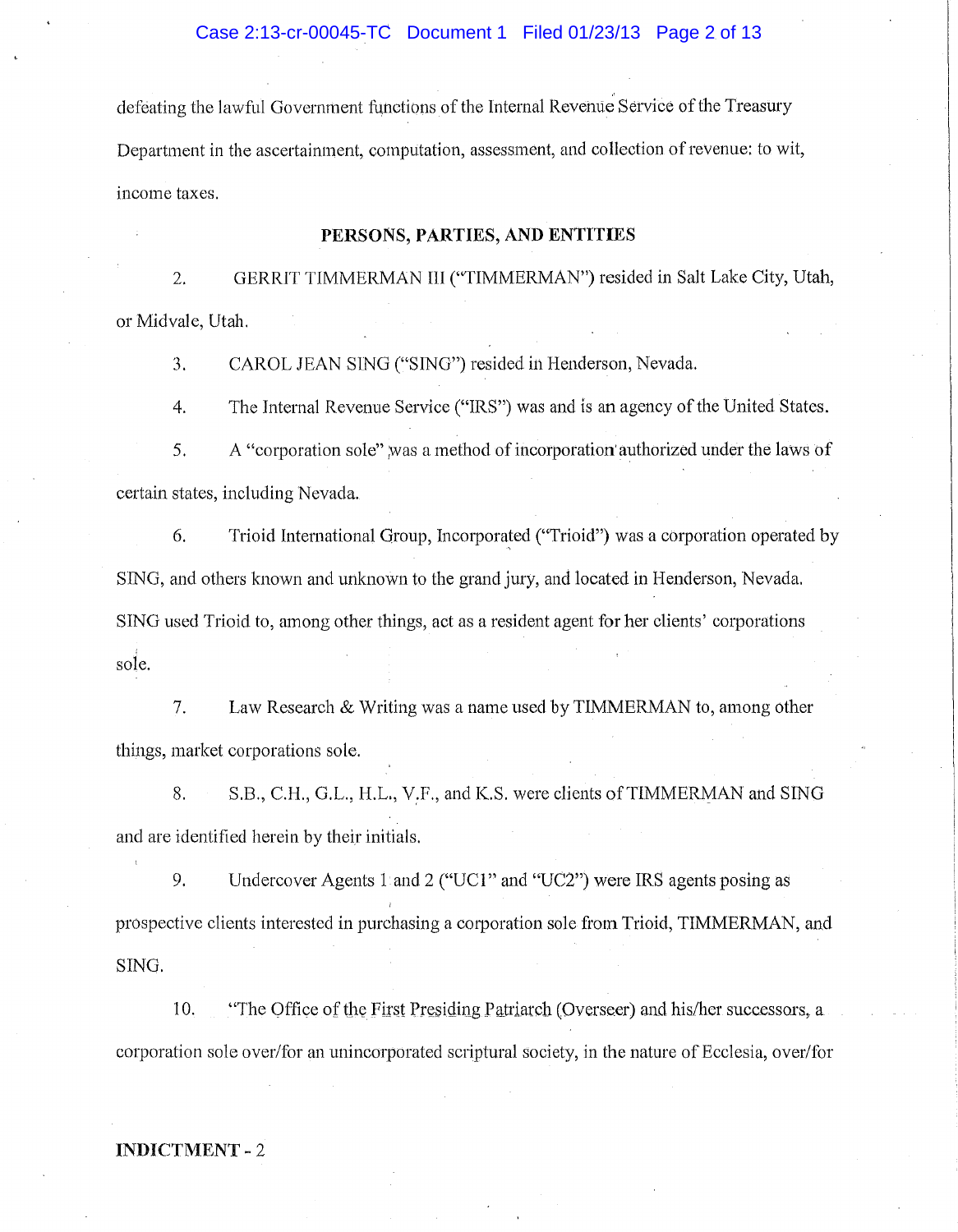defeating the lawful Government functions of the Internal Revenue Service of the Treasury Department in the ascertainment, computation, assessment, and collection of revenue: to wit, income taxes.

## **PERSONS, PARTIES, AND ENTITIES**

2. GERRIT TIMMERMAN III ("TIMMERMAN") resided in Salt Lake City, Utah, or Midvale, Utah.

3. CAROL JEAN SING ("SING") resided in Henderson, Nevada.

4. The Internal Revenue Service ("IRS") was and is an agency of the United States.

5. A "corporation sole" ,was a method of incorporation' authorized under the laws of certain states, including Nevada.

6. Trioid International Group, Incorporated ("Trioid") was a corporation operated by SING, and others known and unknown to the grand jury, and located in Henderson, Nevada. SING used Trioid to, among other things, act as a resident agent for her clients' corporations sole.

7. Law Research & Writing was a name used by TIMMERMAN to, among other things, market corporations sole.

8. S.8., C.H., G.L., H.L., V:F., and K.S. were clients of TIMMERMAN and SING and are identified herein by their initials.

9. Undercover Agents 1 and 2 ("UCl" and "VC2") were IRS agents posing as prospective clients interested in purchasing a corporation sole from Trioid, TIMMERMAN, and SING.

10. "The Office of the First Presiding Patriarch (Overseer) and his/her successors, a corporation sole over/for an unincorporated scriptural society, in the nature of Ecclesia, over/for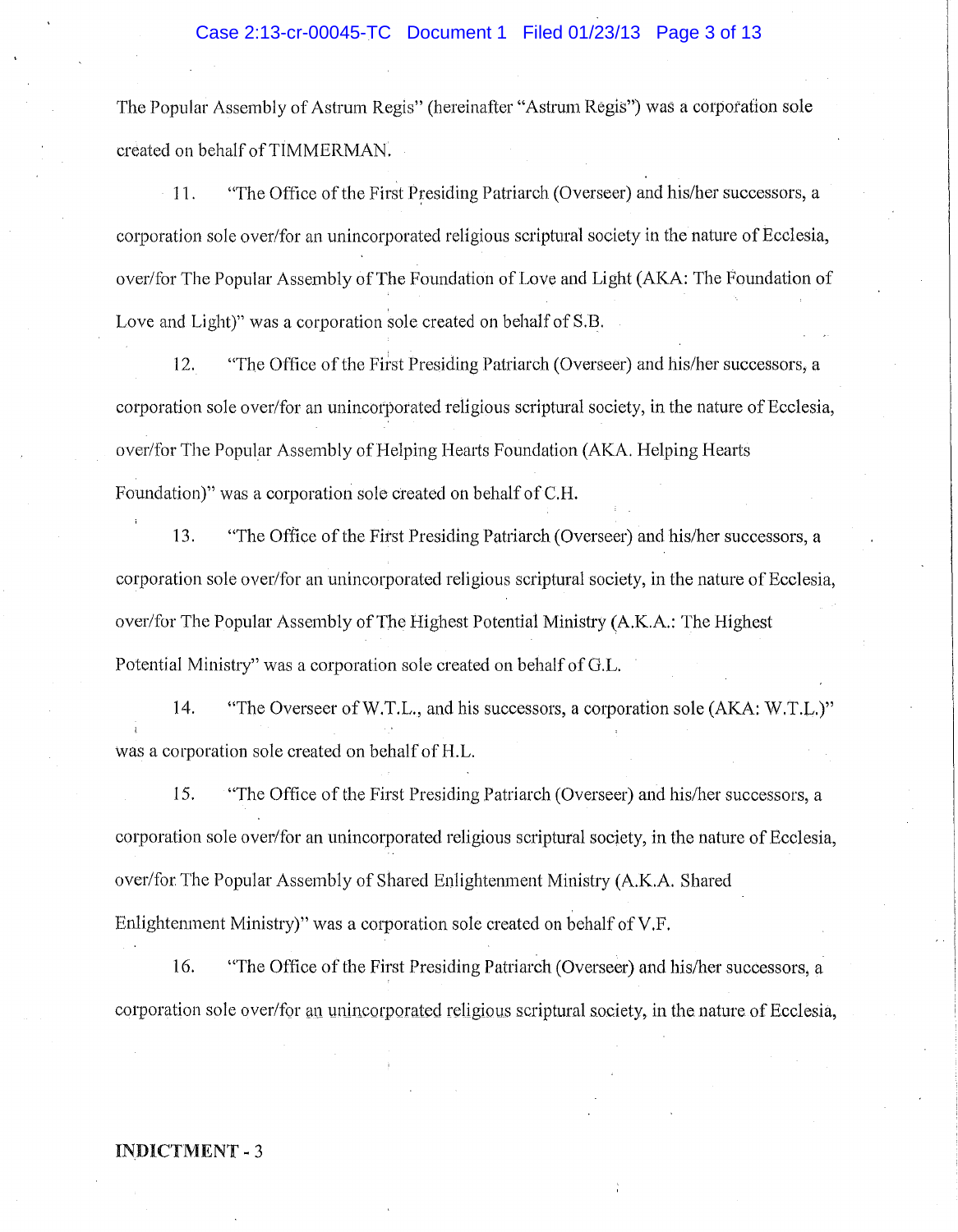# Case 2:13-cr-00045-TC Document 1 Filed 01/23/13 Page 3 of 13

The Popular Assembly of Astrum Regis" (hereinafter "A strum Regis") was a corporation sole created on behalf of TIMMERMAN.

11. "The Office of the First Presiding Patriarch (Overseer) and his/her successors, a corporation sole over/for an unincorporated religious scriptural society in the nature of Ecclesia, over/for The Popular Assembly of The Foundation of Love and Light (AKA: The Foundation of Love and Light)" was a corporation sole created on behalf of S.B.

12. "The Office of the First Presiding Patriarch (Overseer) and his/her successors, a corporation sole over/for an unincorporated religious scriptural society, in the nature of Ecclesia, over/for The Popular Assembly of Helping Hearts Foundation (AKA. Helping Hearts Foundation)" was a corporation sole created on behalf of C.H.

13. "The Office of the First Presiding Patriarch (Overseer) and his/her successors, a corporation sole over/for an unincorporated religious scriptural society, in the nature of Ecclesia, over/for The Popular Assembly of The Highest Potential Ministry (A.K.A.: The Highest Potential Ministry" was a corporation sole created on behalf of G.L.

14. "The Overseer ofW.T.L., and his successors, a corporation sole (AKA: W.T.L.)" was a corporation sole created on behalf of H.L.

15. "The Office of the First Presiding Patriarch (Overseer) and his/her successors, a corporation sole over/for an unincorporated religious scriptural society, in the nature of Ecclesia, over/for The Popular Assembly of Shared Enlightenment Ministry (A.K.A. Shared Enlightenment Ministry)" was a corporation sole created on behalf of V.F.

16. "The Office of the First Presiding Patriarch (Overseer) and his/her successors, a corporation sole over/for an unincorporated religious scriptural society, in the nature of Ecclesia,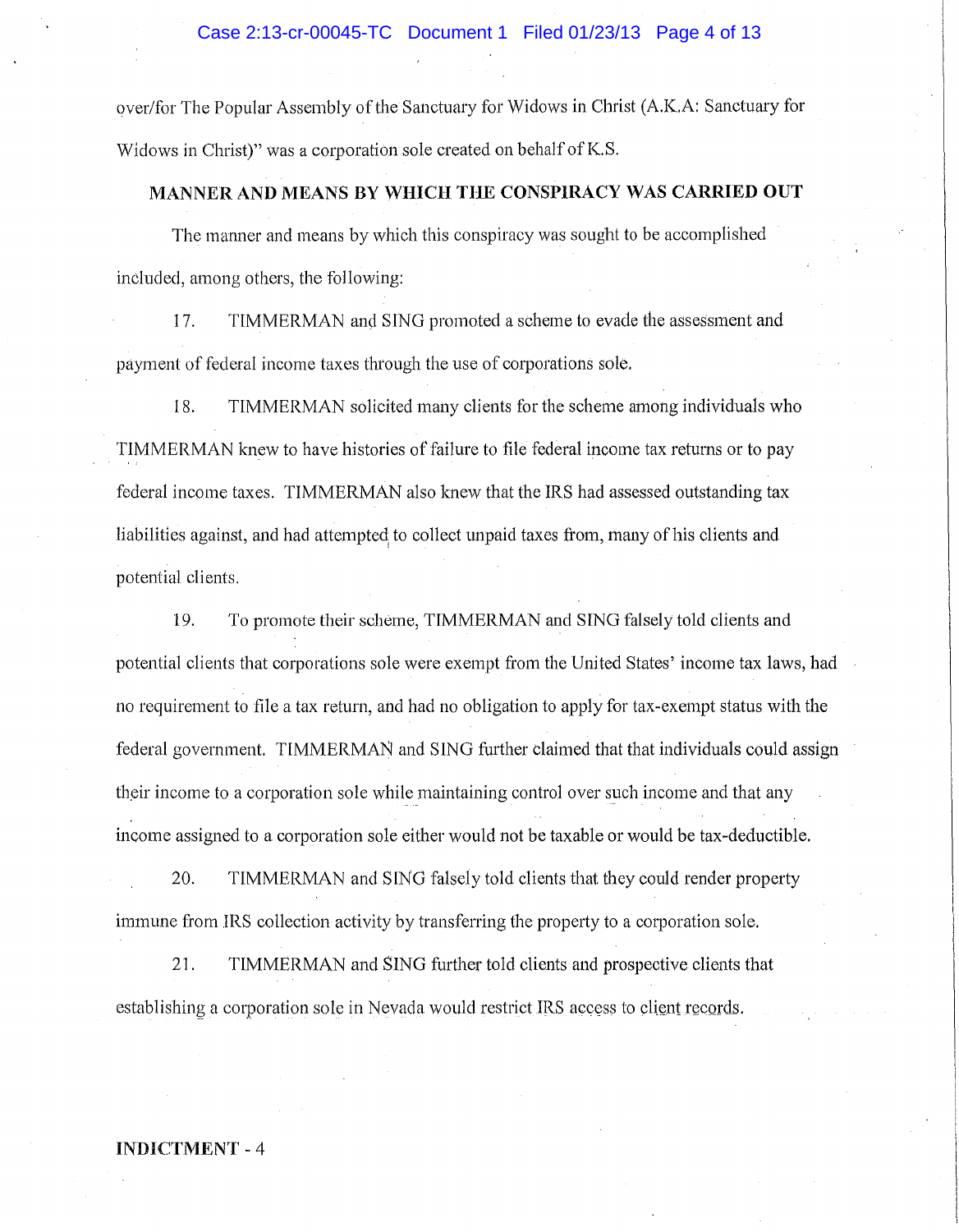over/for The Popular Assembly of the Sanctuary for Widows in Christ (A.K.A: Sanctuary for Widows in Christ)" was a corporation sole created on behalf of K.S.

# MANNER AND MEANS BY WHICH THE CONSPIRACY WAS CARRIED OUT

The manner and means by which this conspiracy was sought to be accomplished included, among others, the following:

17. TIMMERMAN and SING promoted a scheme to evade the assessment and payment of federal income taxes through the use of corporations sole.

18. TIMMERMAN solicited many clients for the scheme among individuals who TIMMERMAN knew to have histories of failure to file federal income tax returns or to pay federal income taxes. TIMMERMAN also knew that the IRS had assessed outstanding tax liabilities against, and had attempted to collect unpaid taxes from, many of his clients and potential clients.

19. To promote their scheme, TIMMERMAN and SING falsely told clients and potential clients that corporations sole were exempt from the United States' income tax laws, had no requirement to file a tax return, and had no obligation to apply for tax-exempt status with the federal government. TIMMERMAN and SING further claimed that that individuals could assign their income to a corporation sole while maintaining control over such income and that any income assigned to a corporation sole either would not be taxable or would be tax-deductible.

20. TIMMERMAN and SING falsely told clients that they could render property immune from IRS collection activity by transferring the property to a corporation sole.

21. TIMMERMAN and SING further told clients and prospective clients that establishing a corporation sole in Nevada would restrict IRS access to client records.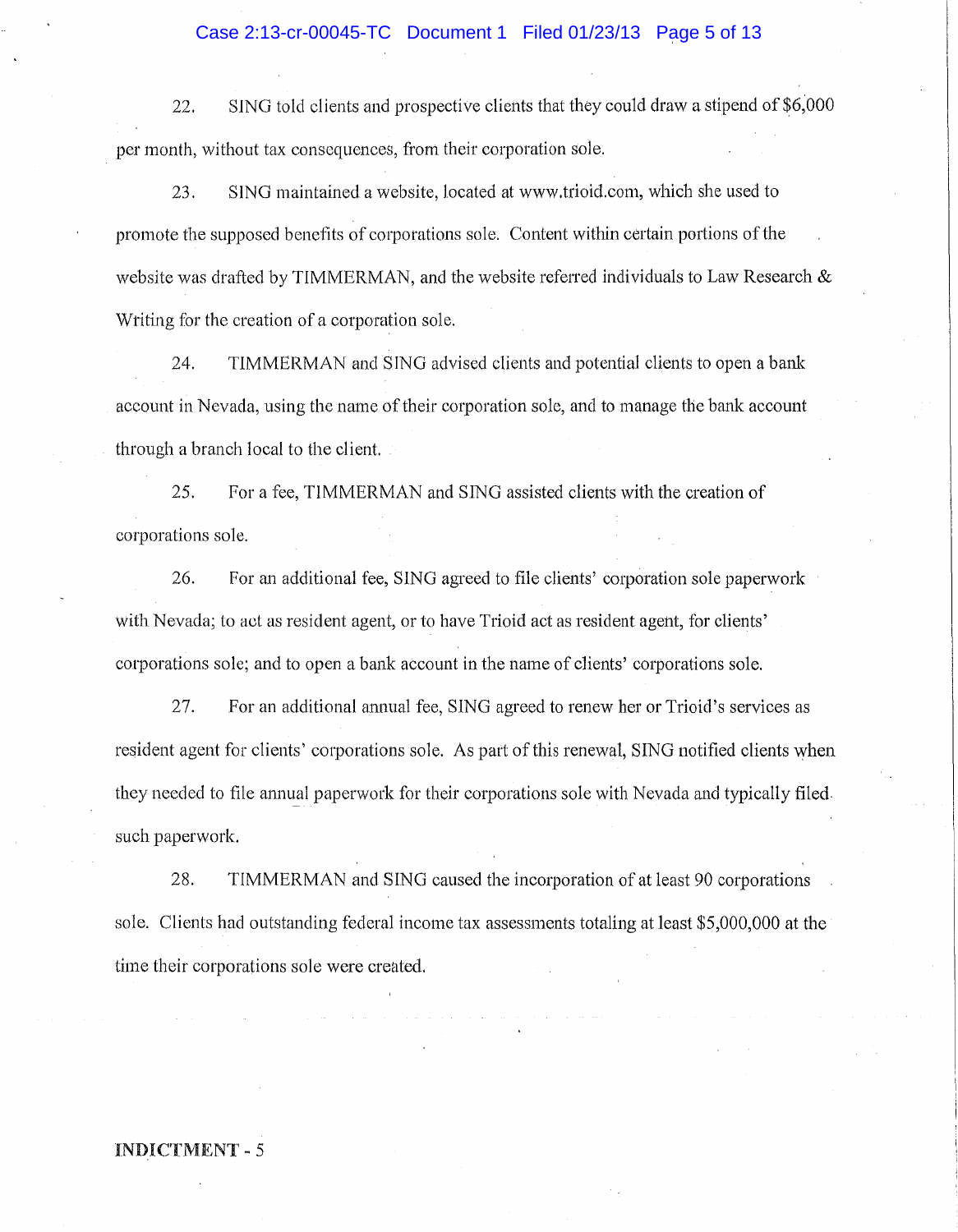### Case 2:13-cr-00045-TC Document 1 Filed 01/23/13 Page 5 of 13

22. SING told clients and prospective clients that they could draw a stipend of \$6,000 per month, without tax consequences, from their corporation sole.

23. SING maintained a website, located at www.trioid.com. which she used to promote the supposed benefits of corporations sole. Content within certain portions of the website was drafted by TIMMERMAN, and the website referred individuals to Law Research & Wtiting for the creation of a corporation sole.

24. TIMMERMAN and SING advised clients and potential clients to open a bank account in Nevada, using the name of their corporation sole, and to manage the bank account through a branch local to the client.

25. For a fee, TIMMERMAN and SING assisted clients with the creation of corporations sole.

26. For an additional fee, SING agreed to file clients' corporation sole paperwork with Nevada; to act as resident agent, or to have Trioid act as resident agent, for clients' corporations sale; and to open a bank account in the name of clients' corporations sole.

27. For an additional annual fee, SING agreed to renew her or Trioid's services as resident agent for clients' corporations sole. As part of this renewal, SING notified clients when they needed to file annual paperwork for their corporations sole with Nevada and typically filed. such paperwork.

28. TIMMERMAN and SING caused the incorporation of at least 90 corporations sole. Clients had outstanding federal income tax assessments totaling at least \$5,000,000 at the time their corporations sole were created.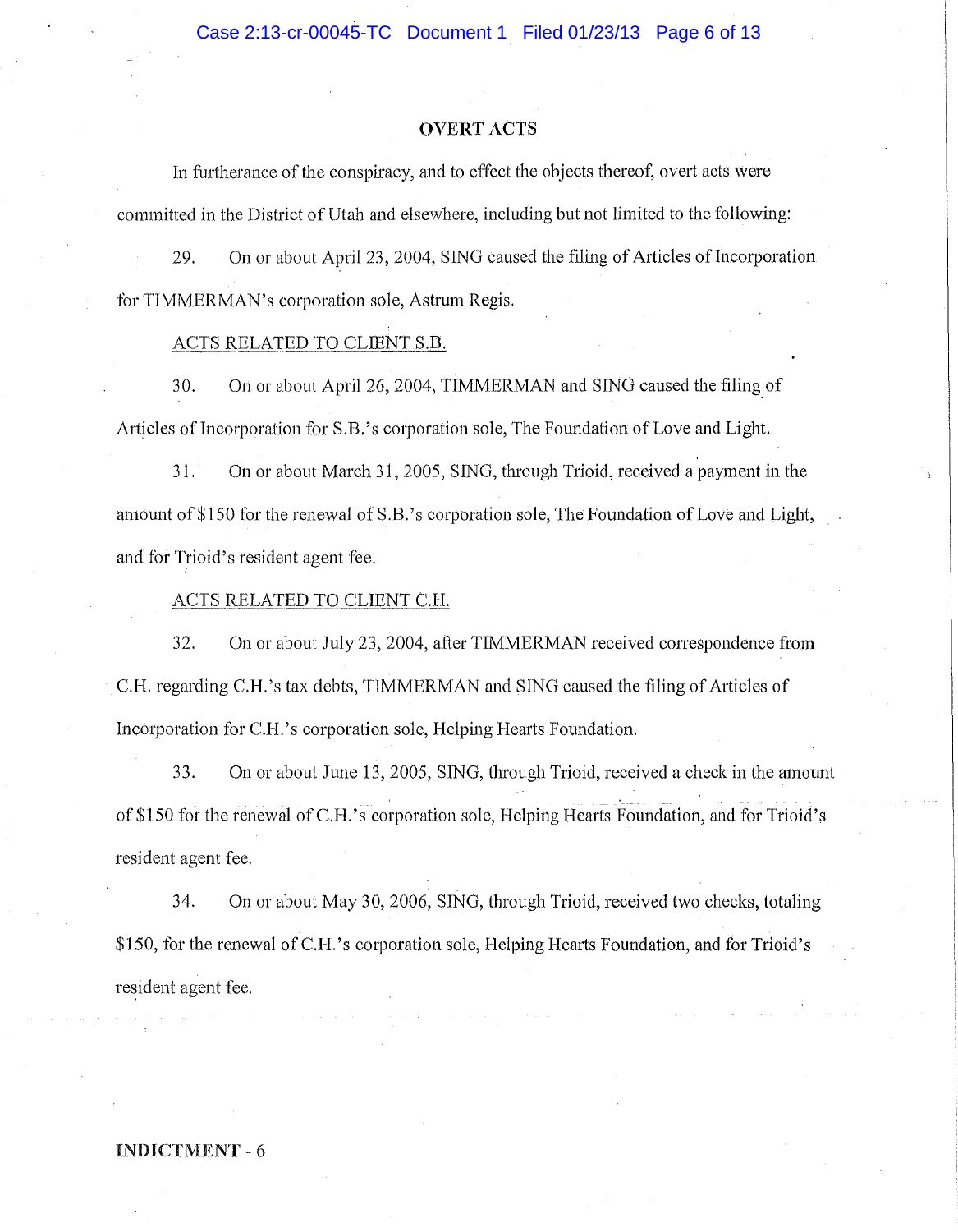#### OVERT ACTS

In furtherance of the conspiracy, and to effect the objects thereof, overt acts were committed in the District of Utah and elsewhere, including but not limited to the following:

29. On or about April 23, 2004, SING caused the filing of Articles of Incorporation for TIMMERMAN's corporation sole, Astrum Regis.

### ACTS RELATED TO CLIENT S.B.

30. On or about April 26, 2004, TIMMERMAN and SING caused the filing of Articles of Incorporation for S.B.'s corporation sole, The Foundation of Love and Light.

31. On or about March 31, 2005, SING, through Trioid, received a payment in the amount of \$150 for the renewal of S.B.'s corporation sole, The Foundation of Love and Light, and for Trioid's resident agent fee.

# ACTS \_RELATED *TO* CLIENT G.H.

32. On or about July 23,2004, after TIMMERMAN received conespondence from C.R regarding C.H.'s tax debts, TIMMERMAN and SING caused the filing of Articles of Incorporation for C.H.'s corporation sole, Helping Hearts Foundation.

33. On or about June 13, 2005, SING, through Trioid, received a check in the amount of \$150 for the renewal of C.H.'s corporation sole, Helping Hearts Foundation, and for Trioid's resident agent fee.

34. On or about May 30, 2006, SING, through Trioid, received two checks, totaling \$150, for the renewal of C.H.'s corporation sole, Helping Hearts Foundation, and for Trioid's resident agent fee.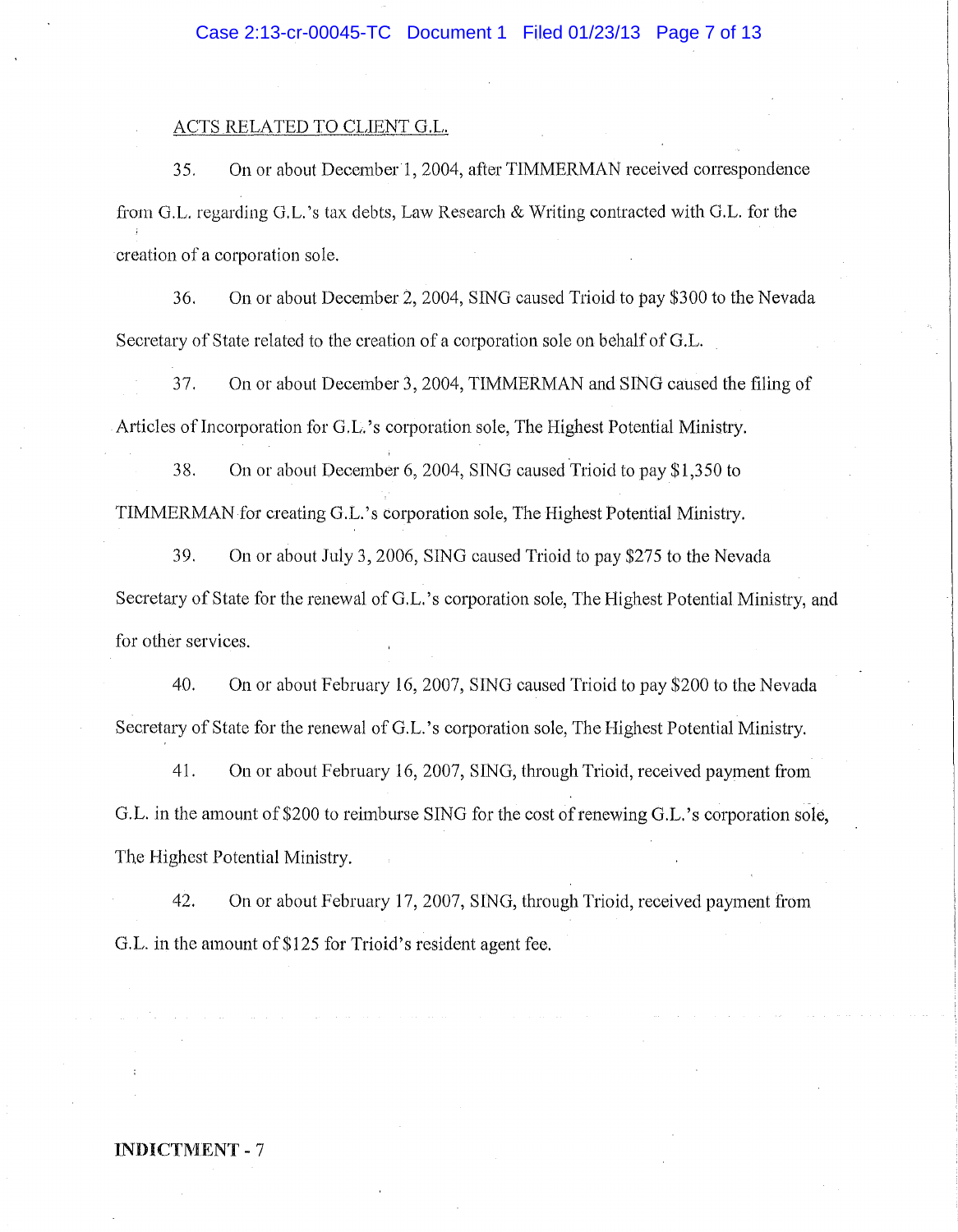#### ACTS RELATED TO CLIENT G.L.

35. On or about December 1, 2004, after TIMMERMAN received correspondence from G.L. regarding G.L.'s tax debts, Law Research & Writing contracted with G.L. for the creation of a corporation sole.

36. On or about December 2, 2004, SING caused Trioid to pay \$300 to the Nevada Secretary of State related to the creation of a corporation sole on behalf of G.L.

37. On or about December 3, 2004, TIMMERMAN and SING caused the filing of Articles of Incorporation for G.L.'s corporation sole, The Highest Potential Ministry.

38. On or about December 6,2004, SING caused Trioid to pay \$1,350 to TIMMERMAN for creating G.L.'s corporation sole, The Highest Potential Ministry.

39. On or about July 3, 2006, SING caused Trioid to pay \$275 to the Nevada Secretary of State for the renewal of O.L. 's corporation sole, The Highest Potential Ministry, and for other services.

40. On or about February 16, 2007, SINO caused Trioid to pay \$200 to the Nevada Secretary of State for the renewal of G.L. 's corporation sole, The Highest Potential Ministry.

41. On or about February 16, 2007, SING, through Trioid, received payment from O.L. in the amount of \$200 to reimburse SING for the cost of renewing O.L. 's corporation sole, The Highest Potential Ministry.

42. On or about February 17, 2007, SING, through Trioid, received payment from G.L. in the amount of \$125 for Trioid's resident agent fee.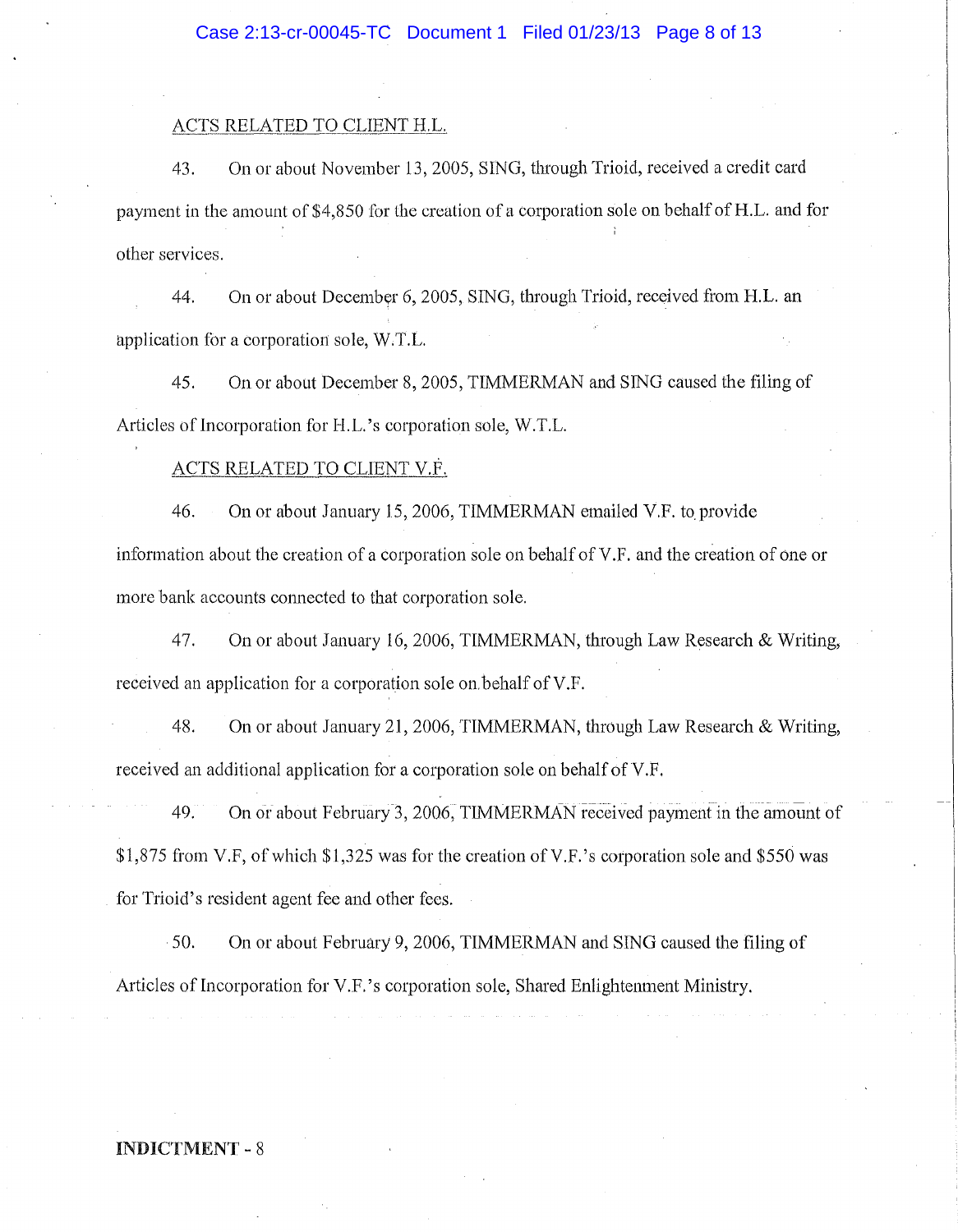### ACTS RELATED TO CLIENT H.L.

43. On or about November 13,2005, SING, through Trioid, received a credit card payment in the amount of \$4,850 for the creation of a corporation sole on behalf of H.L. and for other services.

44. On or about December 6, 2005, SING, through Trioid, received from H.L. an application for a corporation sole, W.T.L.

45. On or about December 8, 2005, TIMMERMAN and SING caused the flling of Articles of Incorporation for H.L.'s corporation sole, W.T.L.

# ACTS RELATED TO CLIENT V.F.

46. On or about January 15, 2006, TIMMERMAN emailed V.F. to provide information about the creation of a corporation sole on behalf of V.F. and the creation of one or more bank accounts connected to that corporation sole.

47. On or about January 16,2006, TIMMERMAN, through Law Research & Writing, received an application for a corporation sole on behalf of V.F.

48. On or about January 21,2006, TIMMERMAN, through Law Research & Writing, received an additional application for a corporation sole on behalf of V.F.

49. On or about February 3, 2006, TIMMERMAN received payment in the amount of \$1,875 from V.F, of which \$1,325 was for the creation of V.F.'s corporation sole and \$550 was for Trioid's resident agent fee and other fees.

50. On or about February 9,2006, TIMMERMAN and SING caused the filing of Articles of Incorporation for V.F.'s corporation sole, Shared Enlightenment Ministry.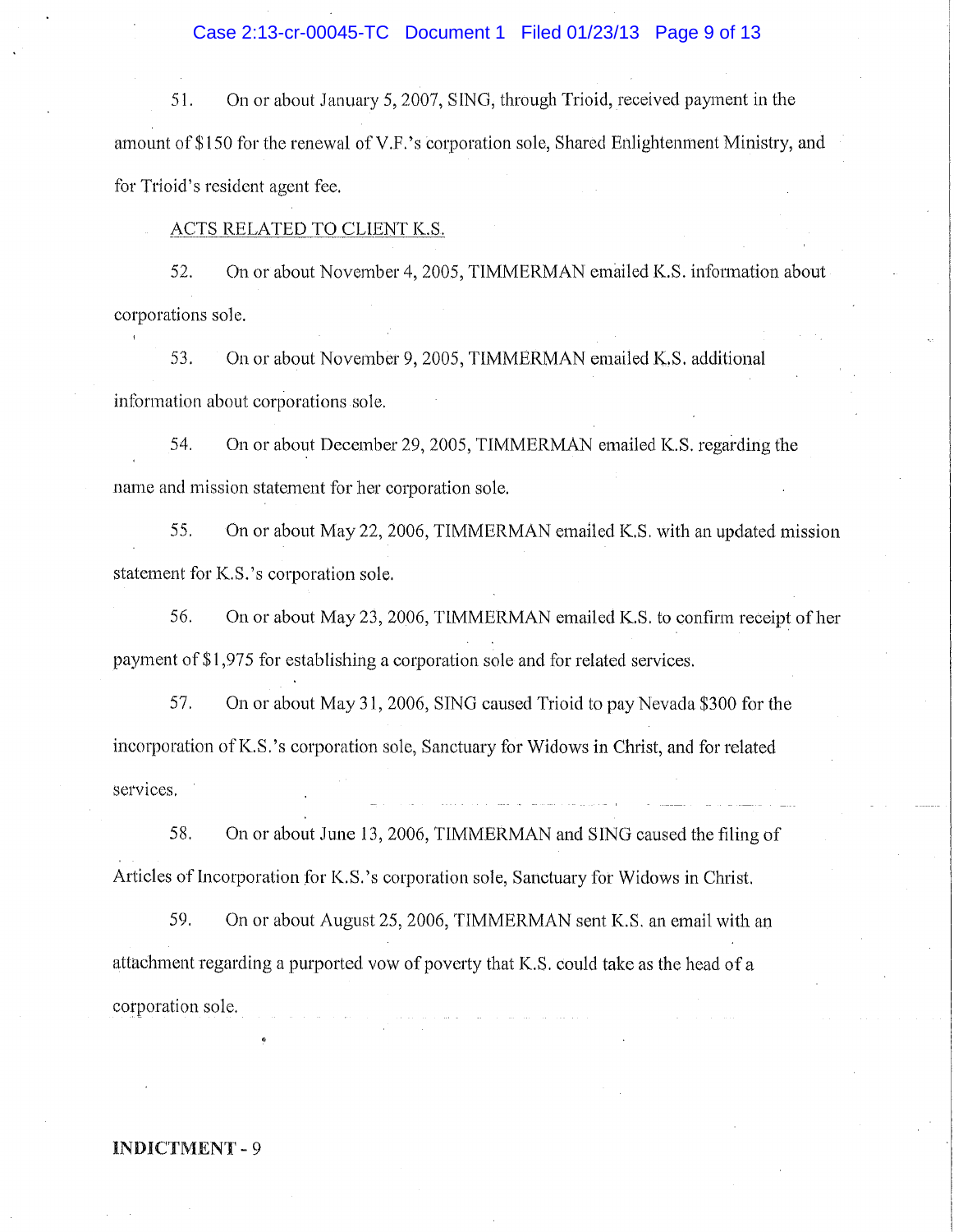### Case 2:13-cr-00045-TC Document 1 Filed 01/23/13 Page 9 of 13

51. On or about January 5, 2007, SING, through Trioid, received payment in the amount of \$150 for the renewal of V.F.' s corporation sole, Shared Enlightenment Ministry, and for Trioid's resident agent fee.

### ACTS RELATED TO CLIENT K.S.

52. On or about November 4,2005, TIMMERMAN emaiIed K.S. information about corporations sole.

53. On or about November 9,2005, TIMMERMAN emailed K.S. additional information about corporations sole.

54. On or about December 29, 2005, TIMMERMAN emailed K.S. regarding the name and mission statement for her corporation sole.

55. On or about May 22, 2006, TIMMERMAN emailed K.S. with an updated mission statement for K.S. 's corporation sole.

56. On or about May 23,2006, TIMMERMAN emailed K.S. to confirm receipt of her payment of \$1,975 for establishing a corporation sole and for related services.

57. On or about May 31,2006, SING caused Trioid to pay Nevada \$300 for the incorporation ofK.S.'s corporation sole, Sanctuary for Widows **in** Christ, and for related services.

58. On or about June 13, 2006, TIMMERMAN and SING caused the filing of Articles of Incorporation for K.S. 's corporation sole, Sanctuary for Widows in Christ.

59. On or about August 25,2006, TIMMERMAN sent K.S. an email with an attachment regarding a purported vow of poverty that K.S. could take as the head of a corporation sole.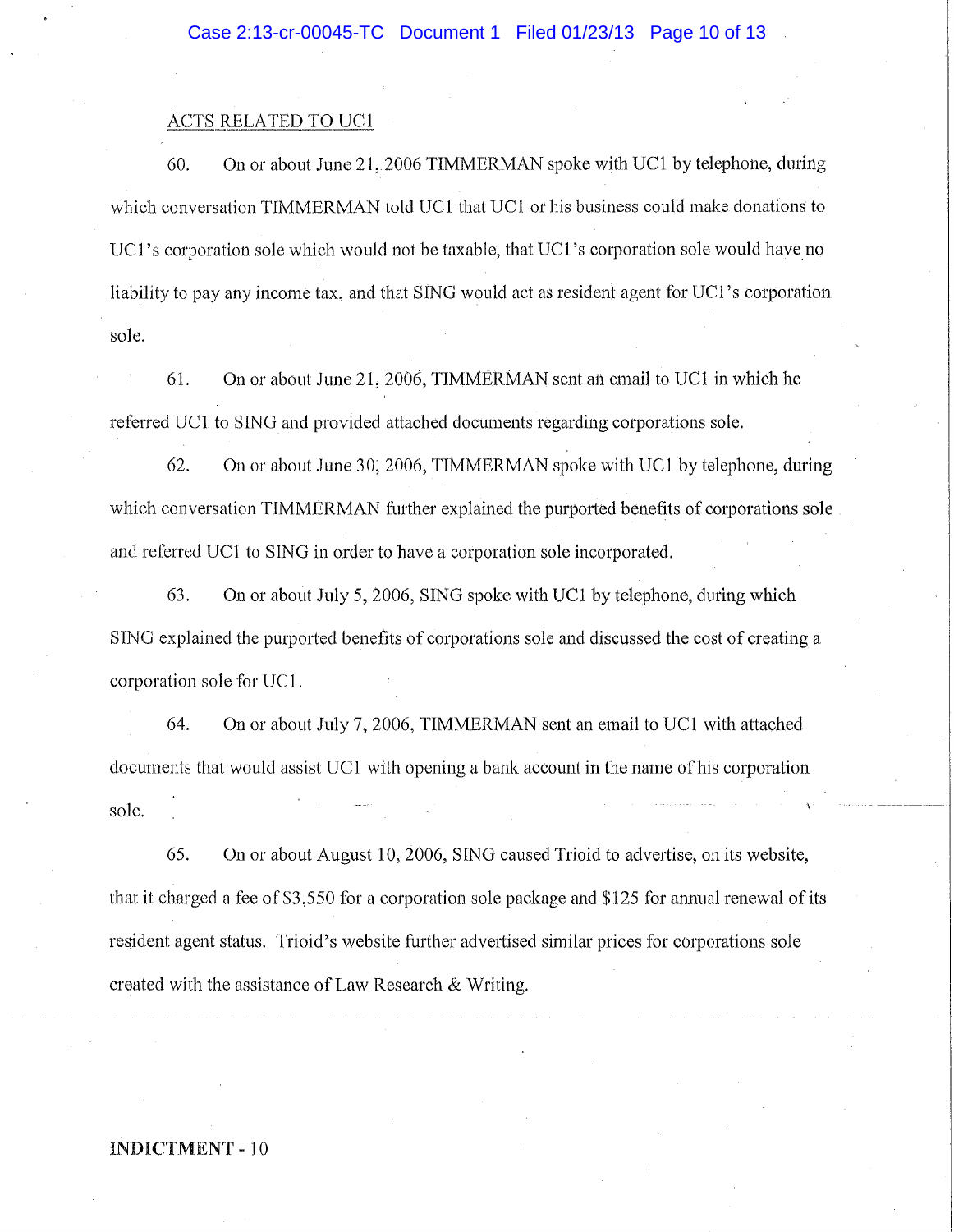## ACTS RELATED TO UC1

60. On or about June 21,2006 TIMMERMAN spoke with UCI by telephone, during which conversation TIMMERMAN told DCI that UCI or his business could make donations to UC1's corporation sole which would not be taxable, that UC1's corporation sole would have no liability to pay any income tax, and that SING would act as resident agent for VCI 's corporation sole.

61. On or about June 21,2006, TIMMERMAN sent an email to UCI in which he referred UCI to SING and provided attached documents regarding corporations sole.

62. On or about June 30; 2006, TIMMERMAN spoke with VCl by telephone, during which conversation TIMMERMAN further explained the purported benefits of corporations sole and referred UCI to SING in order to have a corporation sole incorporated.

63. On or about July 5,2006, SING spoke with VCI by telephone, during which SING explained the purported benefits of corporations sole and discussed the cost of creating a corporation sole for UC 1.

64. On or about July 7,2006, TIMMERMAN sent an email to UCI with attached documents that would assist VCl with opening a bank account in the name of his corporation sole.

65. On or about August 10,2006, SING caused Trioid to advertise, on its website, that it charged a fee of\$3,550 for a corporation sole package and \$125 for annual renewal of its resident agent status. Trioid's website further advertised similar prices for corporations sole created with the assistance of Law Research & Writing.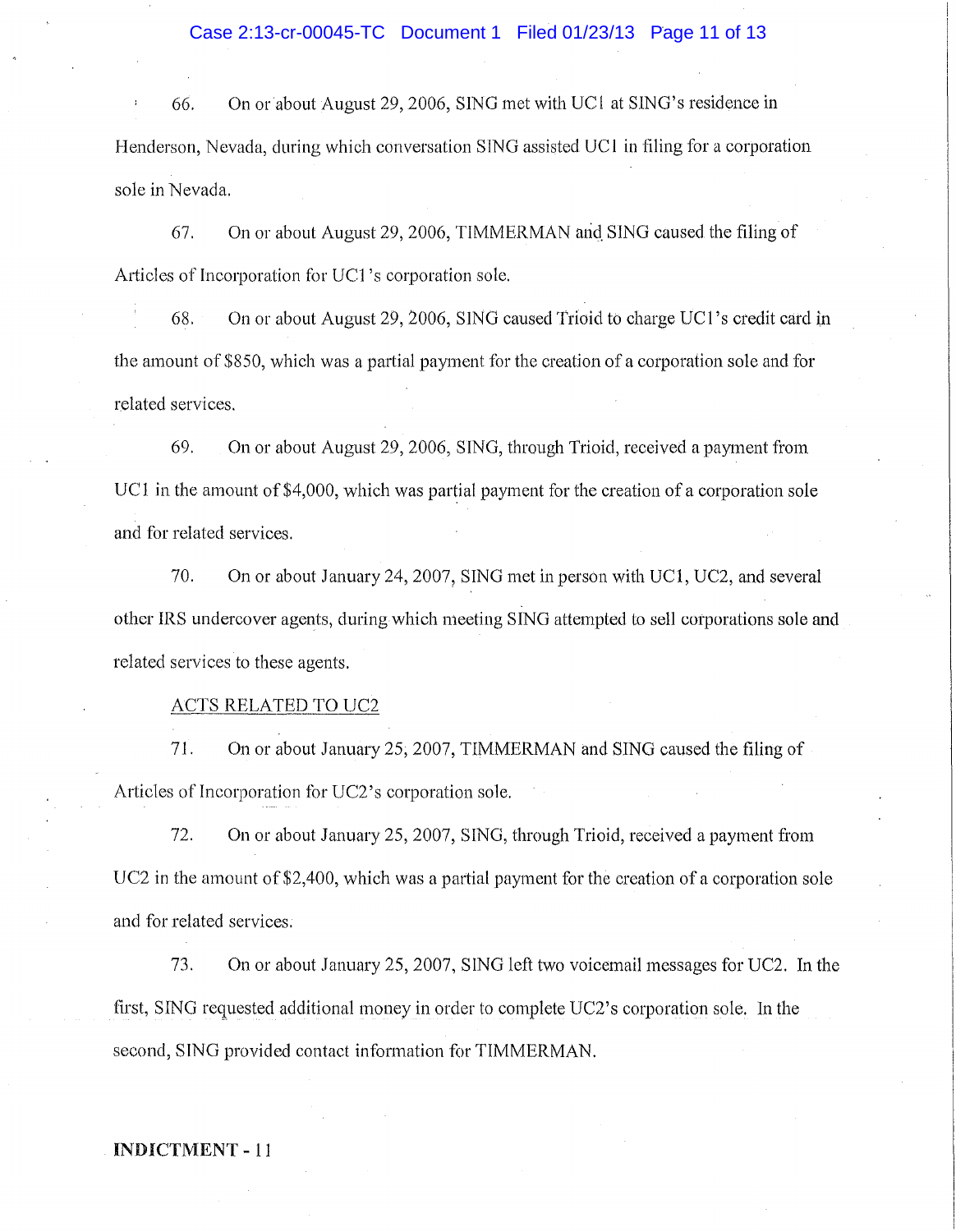## Case 2:13-cr-00045-TC Document 1 Filed 01/23/13 Page 11 of 13

66. On or about August 29, 2006, SING met with VCI at SING's residence in Henderson, Nevada, during which conversation SING assisted VCI in filing for a corporation sole in Nevada.

67. On or about August 29,2006, TIMMERMAN arid. SING caused the filing of Articles of Incorporation for VCI 's corporation sole.

68. On or about August 29, 2006, SING caused Trioid to charge UC1's credit card in the amount of \$850, which was a partial payment for the creation of a corporation sole and for related services.

69. On or about August 29, 2006, SING, through Trioid, received a payment from UC1 in the amount of \$4,000, which was partial payment for the creation of a corporation sole and for related services.

70. On or about January 24,2007, SING met in person with VCI, UC2, and several other IRS undercover agents, during which meeting SING attempted to sell corporations sole and related services to these agents.

### ACTS RELATED TO UC2

71. On or about January 25,2007, TIMMERMAN and SING caused the filing of Articles of Incorporation for UC2's corporation sole.

72. On or about January 25,2007, SING, through Trioid, received a payment from UC2 in the amount of \$2,400, which was a partial payment for the creation of a corporation sole and for related services.

73. On or about January 25,2007, SING left two voicemail messages for UC2. In the first, SING requested additional money in order to complete UC2's corporation sole. In the second, SING provided contact information for TIMMERMAN.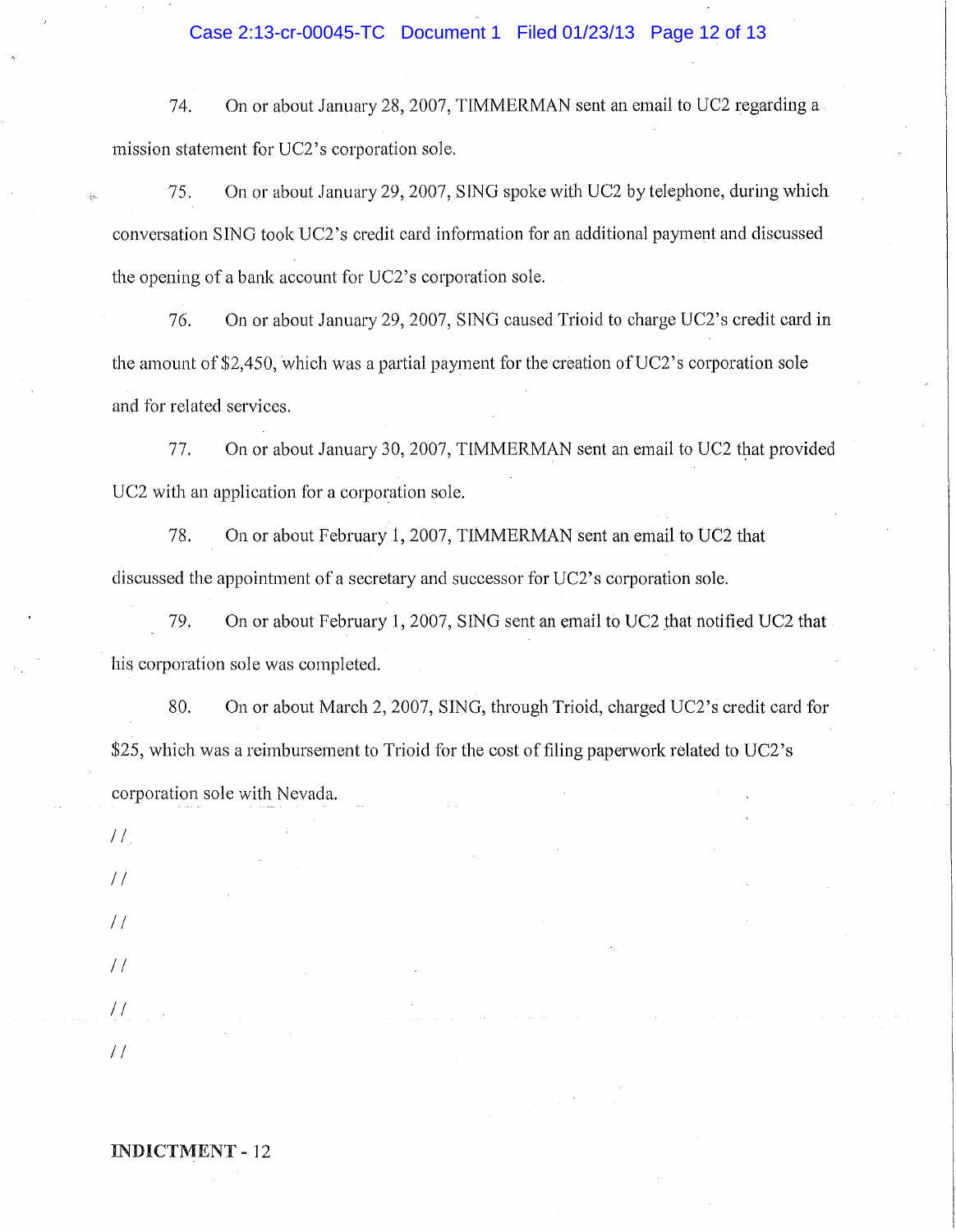### Case 2:13-cr-00045-TC Document 1 Filed 01/23/13 Page 12 of 13

74. On or about January 28, 2007, TIMMERMAN sent an email to UC2 regarding a mission statement for UC2's corporation sole.

75. On or about January 29, 2007, SING spoke with UC2 by telephone, during which conversation SING took UC2's credit card information for an additional payment and discussed the opening of a bank account for UC2's corporation sole.

76. On or about January 29, 2007, SING caused Trioid to charge UC2's credit card in the amount of \$2,450, which was a partial payment for the creation of  $UC2$ 's corporation sole and for related services.

77. On or about January 30, 2007, TIMMERMAN sent an email to UC2 that provided UC2 with an application for a corporation sole.

78. On or about February 1, 2007, TIMMERMAN sent an email to UC2 that discussed the appointment of a secretary and successor for UC2's corporation sole.

79. On or about February 1, 2007, SING sent an email to UC2 that notified UC2 that his corporation sole was completed.

80. On or about March 2, 2007, SING, through Trioid, charged UC2's credit card for \$25, which was a reimbursement to Trioid for the cost of filing paperwork related to UC2's corporation sole with Nevada.

| $H_{\rm s}$    |  |  |                |  |                     |                       |
|----------------|--|--|----------------|--|---------------------|-----------------------|
| $\frac{1}{2}$  |  |  |                |  | $\sim$ 10 $\pm$     |                       |
| $\frac{1}{2}$  |  |  |                |  |                     |                       |
| $\frac{1}{2}$  |  |  |                |  |                     |                       |
| $H_{\rm{max}}$ |  |  | the company of |  |                     | $\alpha$ and $\alpha$ |
| / /            |  |  |                |  | Article of the Con- | $\sim$                |